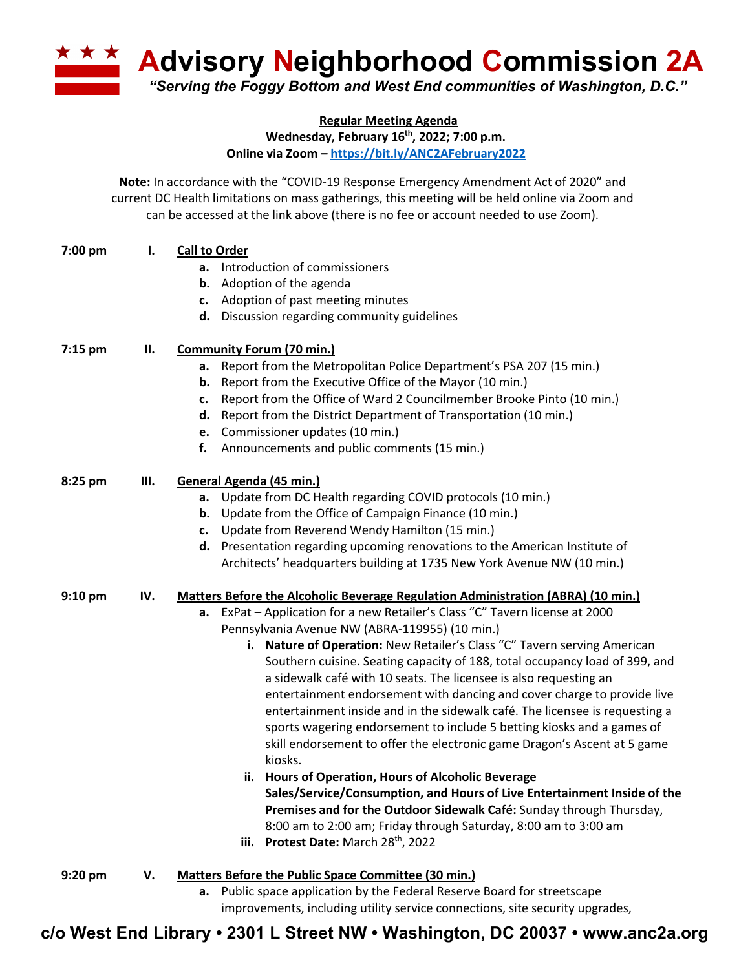**<u><b>Advisory Neighborhood Commission 2A**</u> *"Serving the Foggy Bottom and West End communities of Washington, D.C."*

**Regular Meeting Agenda**

**Wednesday, February 16th, 2022; 7:00 p.m.**

**Online via Zoom – https://bit.ly/ANC2AFebruary2022**

**Note:** In accordance with the "COVID-19 Response Emergency Amendment Act of 2020" and current DC Health limitations on mass gatherings, this meeting will be held online via Zoom and can be accessed at the link above (there is no fee or account needed to use Zoom).

| 7:00 pm | ı.  | <b>Call to Order</b><br>a. Introduction of commissioners<br>Adoption of the agenda<br>b.<br>c. Adoption of past meeting minutes<br>d. Discussion regarding community guidelines                                                                                                                                                                                                                                                                                                                                                                                                                                                                                                                                                                                                                                                                                                                                                                                                                                                                                                                                        |
|---------|-----|------------------------------------------------------------------------------------------------------------------------------------------------------------------------------------------------------------------------------------------------------------------------------------------------------------------------------------------------------------------------------------------------------------------------------------------------------------------------------------------------------------------------------------------------------------------------------------------------------------------------------------------------------------------------------------------------------------------------------------------------------------------------------------------------------------------------------------------------------------------------------------------------------------------------------------------------------------------------------------------------------------------------------------------------------------------------------------------------------------------------|
| 7:15 pm | П.  | <b>Community Forum (70 min.)</b><br>Report from the Metropolitan Police Department's PSA 207 (15 min.)<br>а.<br>Report from the Executive Office of the Mayor (10 min.)<br>b.<br>Report from the Office of Ward 2 Councilmember Brooke Pinto (10 min.)<br>c.<br>d. Report from the District Department of Transportation (10 min.)<br>e. Commissioner updates (10 min.)<br>f.<br>Announcements and public comments (15 min.)                                                                                                                                                                                                                                                                                                                                                                                                                                                                                                                                                                                                                                                                                           |
| 8:25 pm | Ш.  | General Agenda (45 min.)<br>a. Update from DC Health regarding COVID protocols (10 min.)<br><b>b.</b> Update from the Office of Campaign Finance (10 min.)<br>c. Update from Reverend Wendy Hamilton (15 min.)<br>d. Presentation regarding upcoming renovations to the American Institute of<br>Architects' headquarters building at 1735 New York Avenue NW (10 min.)                                                                                                                                                                                                                                                                                                                                                                                                                                                                                                                                                                                                                                                                                                                                                |
| 9:10 pm | IV. | <b>Matters Before the Alcoholic Beverage Regulation Administration (ABRA) (10 min.)</b><br>a. ExPat - Application for a new Retailer's Class "C" Tavern license at 2000<br>Pennsylvania Avenue NW (ABRA-119955) (10 min.)<br>i. Nature of Operation: New Retailer's Class "C" Tavern serving American<br>Southern cuisine. Seating capacity of 188, total occupancy load of 399, and<br>a sidewalk café with 10 seats. The licensee is also requesting an<br>entertainment endorsement with dancing and cover charge to provide live<br>entertainment inside and in the sidewalk café. The licensee is requesting a<br>sports wagering endorsement to include 5 betting kiosks and a games of<br>skill endorsement to offer the electronic game Dragon's Ascent at 5 game<br>kiosks.<br>ii. Hours of Operation, Hours of Alcoholic Beverage<br>Sales/Service/Consumption, and Hours of Live Entertainment Inside of the<br>Premises and for the Outdoor Sidewalk Café: Sunday through Thursday,<br>8:00 am to 2:00 am; Friday through Saturday, 8:00 am to 3:00 am<br>iii. Protest Date: March 28 <sup>th</sup> , 2022 |
| 9:20 pm | V.  | Matters Before the Public Space Committee (30 min.)<br>Public space application by the Federal Reserve Board for streetscape<br>a.                                                                                                                                                                                                                                                                                                                                                                                                                                                                                                                                                                                                                                                                                                                                                                                                                                                                                                                                                                                     |

improvements, including utility service connections, site security upgrades,

**c/o West End Library • 2301 L Street NW • Washington, DC 20037 • www.anc2a.org**